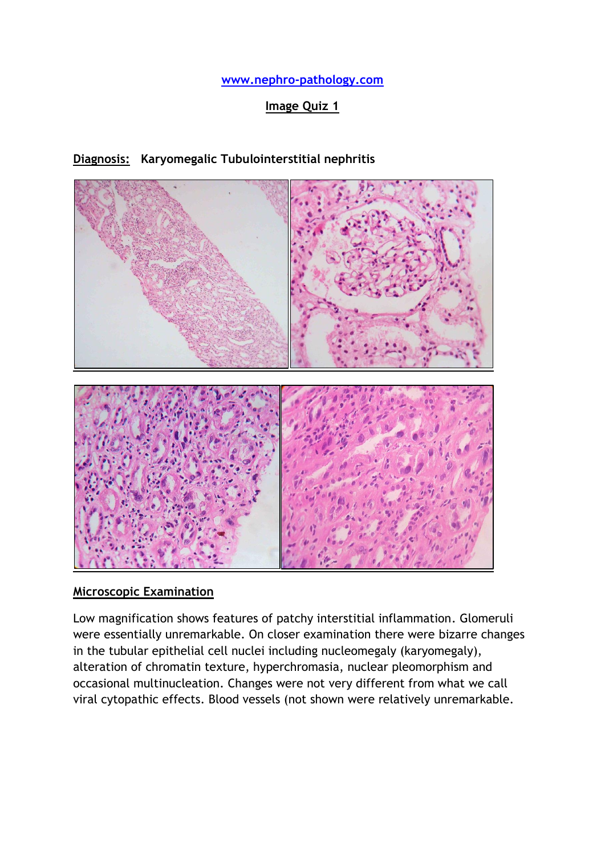**[www.nephro-pathology.com](http://www.nephro-pathology.com/)**

## **Image Quiz 1**

### **Diagnosis: Karyomegalic Tubulointerstitial nephritis**



### **Microscopic Examination**

Low magnification shows features of patchy interstitial inflammation. Glomeruli were essentially unremarkable. On closer examination there were bizarre changes in the tubular epithelial cell nuclei including nucleomegaly (karyomegaly), alteration of chromatin texture, hyperchromasia, nuclear pleomorphism and occasional multinucleation. Changes were not very different from what we call viral cytopathic effects. Blood vessels (not shown were relatively unremarkable.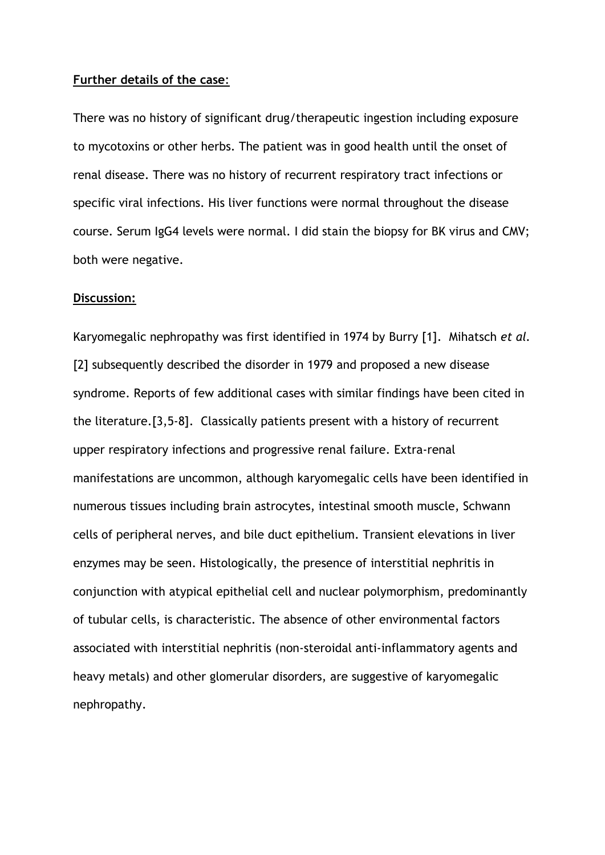#### **Further details of the case**:

There was no history of significant drug/therapeutic ingestion including exposure to mycotoxins or other herbs. The patient was in good health until the onset of renal disease. There was no history of recurrent respiratory tract infections or specific viral infections. His liver functions were normal throughout the disease course. Serum IgG4 levels were normal. I did stain the biopsy for BK virus and CMV; both were negative.

#### **Discussion:**

Karyomegalic nephropathy was first identified in 1974 by Burry [\[1\]](http://ndt.oxfordjournals.org/content/17/11/1914.full#ref-1). Mihatsch *et al.* [\[2\]](http://ndt.oxfordjournals.org/content/17/11/1914.full#ref-2) subsequently described the disorder in 1979 and proposed a new disease syndrome. Reports of few additional cases with similar findings have been cited in the literature.[3,5-8]. Classically patients present with a history of recurrent upper respiratory infections and progressive renal failure. Extra‐renal manifestations are uncommon, although karyomegalic cells have been identified in numerous tissues including brain astrocytes, intestinal smooth muscle, Schwann cells of peripheral nerves, and bile duct epithelium. Transient elevations in liver enzymes may be seen. Histologically, the presence of interstitial nephritis in conjunction with atypical epithelial cell and nuclear polymorphism, predominantly of tubular cells, is characteristic. The absence of other environmental factors associated with interstitial nephritis (non‐steroidal anti‐inflammatory agents and heavy metals) and other glomerular disorders, are suggestive of karyomegalic nephropathy.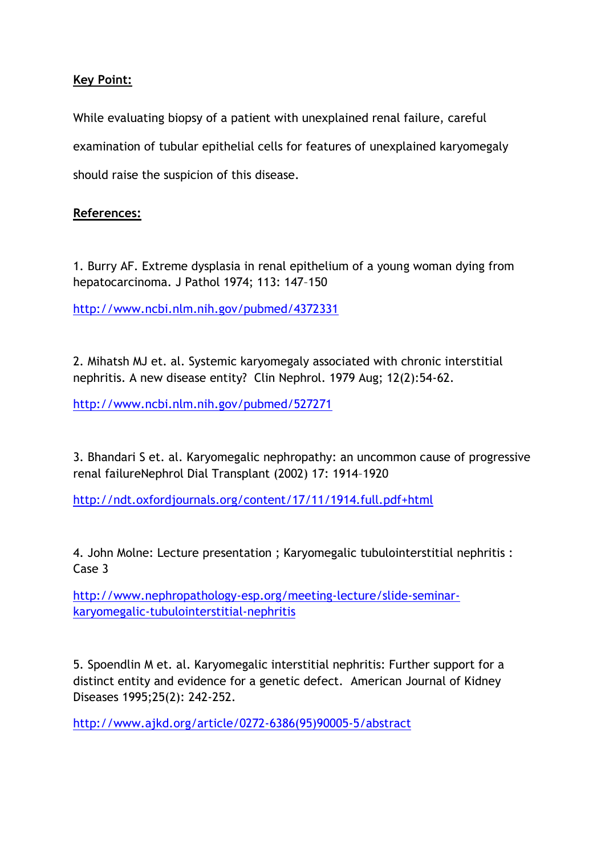# **Key Point:**

While evaluating biopsy of a patient with unexplained renal failure, careful examination of tubular epithelial cells for features of unexplained karyomegaly should raise the suspicion of this disease.

# **References:**

1. Burry AF. Extreme dysplasia in renal epithelium of a young woman dying from hepatocarcinoma. J Pathol 1974; 113: 147–150

<http://www.ncbi.nlm.nih.gov/pubmed/4372331>

2. Mihatsh MJ et. al. Systemic karyomegaly associated with chronic interstitial nephritis. A new disease entity? Clin Nephrol. 1979 Aug; 12(2):54-62.

<http://www.ncbi.nlm.nih.gov/pubmed/527271>

3. Bhandari S et. al. Karyomegalic nephropathy: an uncommon cause of progressive renal failureNephrol Dial Transplant (2002) 17: 1914–1920

<http://ndt.oxfordjournals.org/content/17/11/1914.full.pdf+html>

4. John Molne: Lecture presentation ; Karyomegalic tubulointerstitial nephritis : Case 3

[http://www.nephropathology-esp.org/meeting-lecture/slide-seminar](http://www.nephropathology-esp.org/meeting-lecture/slide-seminar-karyomegalic-tubulointerstitial-nephritis)[karyomegalic-tubulointerstitial-nephritis](http://www.nephropathology-esp.org/meeting-lecture/slide-seminar-karyomegalic-tubulointerstitial-nephritis)

5. Spoendlin M et. al. Karyomegalic interstitial nephritis: Further support for a distinct entity and evidence for a genetic defect. American Journal of Kidney Diseases 1995;25(2): 242-252.

[http://www.ajkd.org/article/0272-6386\(95\)90005-5/abstract](http://www.ajkd.org/article/0272-6386(95)90005-5/abstract)